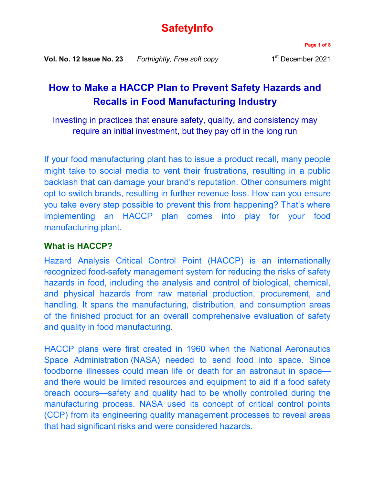# **SafetyInfo**

**Page 1 of 8**

# **How to Make a HACCP Plan to Prevent Safety Hazards and Recalls in Food Manufacturing Industry**

Investing in practices that ensure safety, quality, and consistency may require an initial investment, but they pay off in the long run

If your food manufacturing plant has to issue a product recall, many people might take to social media to vent their frustrations, resulting in a public backlash that can damage your brand's reputation. Other consumers might opt to switch brands, resulting in further revenue loss. How can you ensure you take every step possible to prevent this from happening? That's where implementing an HACCP plan comes into play for your food manufacturing plant.

## **What is HACCP?**

Hazard Analysis Critical Control Point (HACCP) is an internationally recognized food-safety management system for reducing the risks of safety hazards in food, including the analysis and control of biological, chemical, and physical hazards from raw material production, procurement, and handling. It spans the manufacturing, distribution, and consumption areas of the finished product for an overall comprehensive evaluation of safety and quality in food manufacturing.

HACCP plans were first created in 1960 when the National Aeronautics Space Administration (NASA) needed to send food into space. Since foodborne illnesses could mean life or death for an astronaut in space and there would be limited resources and equipment to aid if a food safety breach occurs—safety and quality had to be wholly controlled during the manufacturing process. NASA used its concept of critical control points (CCP) from its engineering quality management processes to reveal areas that had significant risks and were considered hazards.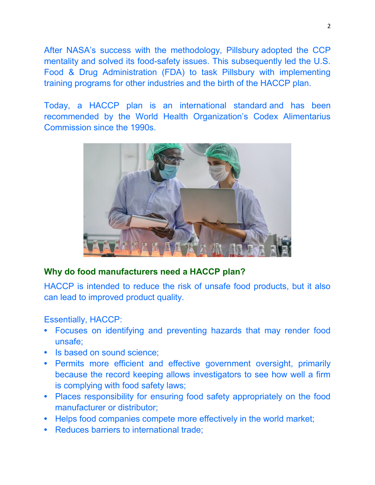After NASA's success with the methodology, Pillsbury adopted the CCP mentality and solved its food-safety issues. This subsequently led the U.S. Food & Drug Administration (FDA) to task Pillsbury with implementing training programs for other industries and the birth of the HACCP plan.

Today, a HACCP plan is an international standard and has been recommended by the World Health Organization's Codex Alimentarius Commission since the 1990s.



## **Why do food manufacturers need a HACCP plan?**

HACCP is intended to reduce the risk of unsafe food products, but it also can lead to improved product quality.

## Essentially, HACCP:

- **•** Focuses on identifying and preventing hazards that may render food unsafe;
- **•** Is based on sound science;
- **•** Permits more efficient and effective government oversight, primarily because the record keeping allows investigators to see how well a firm is complying with food safety laws;
- **•** Places responsibility for ensuring food safety appropriately on the food manufacturer or distributor;
- **•** Helps food companies compete more effectively in the world market;
- **•** Reduces barriers to international trade;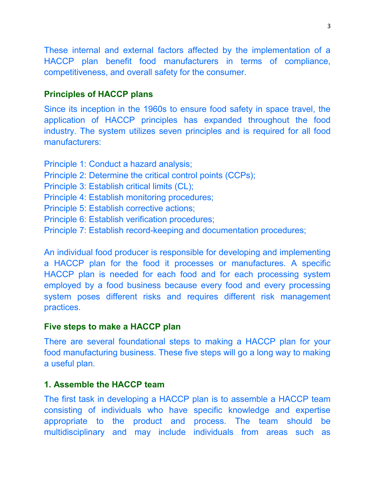These internal and external factors affected by the implementation of a HACCP plan benefit food manufacturers in terms of compliance, competitiveness, and overall safety for the consumer.

#### **Principles of HACCP plans**

Since its inception in the 1960s to ensure food safety in space travel, the application of HACCP principles has expanded throughout the food industry. The system utilizes seven principles and is required for all food manufacturers:

Principle 1: Conduct a hazard analysis; Principle 2: Determine the critical control points (CCPs); Principle 3: Establish critical limits (CL); Principle 4: Establish monitoring procedures; Principle 5: Establish corrective actions; Principle 6: Establish verification procedures; Principle 7: Establish record-keeping and documentation procedures;

An individual food producer is responsible for developing and implementing a HACCP plan for the food it processes or manufactures. A specific HACCP plan is needed for each food and for each processing system employed by a food business because every food and every processing system poses different risks and requires different risk management practices.

#### **Five steps to make a HACCP plan**

There are several foundational steps to making a HACCP plan for your food manufacturing business. These five steps will go a long way to making a useful plan.

## **1. Assemble the HACCP team**

The first task in developing a HACCP plan is to assemble a HACCP team consisting of individuals who have specific knowledge and expertise appropriate to the product and process. The team should be multidisciplinary and may include individuals from areas such as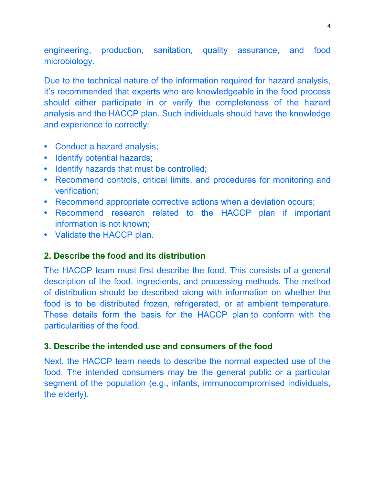engineering, production, sanitation, quality assurance, and food microbiology.

Due to the technical nature of the information required for hazard analysis, it's recommended that experts who are knowledgeable in the food process should either participate in or verify the completeness of the hazard analysis and the HACCP plan. Such individuals should have the knowledge and experience to correctly:

- **•** Conduct a hazard analysis;
- **•** Identify potential hazards;
- **•** Identify hazards that must be controlled;
- **•** Recommend controls, critical limits, and procedures for monitoring and verification;
- **•** Recommend appropriate corrective actions when a deviation occurs;
- **•** Recommend research related to the HACCP plan if important information is not known;
- **•** Validate the HACCP plan.

### **2. Describe the food and its distribution**

The HACCP team must first describe the food. This consists of a general description of the food, ingredients, and processing methods. The method of distribution should be described along with information on whether the food is to be distributed frozen, refrigerated, or at ambient temperature. These details form the basis for the HACCP plan to conform with the particularities of the food.

#### **3. Describe the intended use and consumers of the food**

Next, the HACCP team needs to describe the normal expected use of the food. The intended consumers may be the general public or a particular segment of the population (e.g., infants, immunocompromised individuals, the elderly).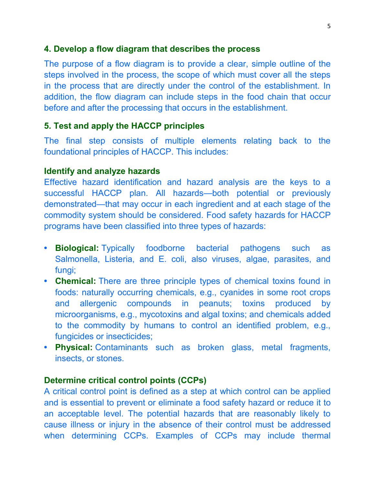## **4. Develop a flow diagram that describes the process**

The purpose of a flow diagram is to provide a clear, simple outline of the steps involved in the process, the scope of which must cover all the steps in the process that are directly under the control of the establishment. In addition, the flow diagram can include steps in the food chain that occur before and after the processing that occurs in the establishment.

## **5. Test and apply the HACCP principles**

The final step consists of multiple elements relating back to the foundational principles of HACCP. This includes:

### **Identify and analyze hazards**

Effective hazard identification and hazard analysis are the keys to a successful HACCP plan. All hazards—both potential or previously demonstrated—that may occur in each ingredient and at each stage of the commodity system should be considered. Food safety hazards for HACCP programs have been classified into three types of hazards:

- **• Biological:** Typically foodborne bacterial pathogens such as Salmonella, Listeria, and E. coli, also viruses, algae, parasites, and fungi;
- **• Chemical:** There are three principle types of chemical toxins found in foods: naturally occurring chemicals, e.g., cyanides in some root crops and allergenic compounds in peanuts; toxins produced by microorganisms, e.g., mycotoxins and algal toxins; and chemicals added to the commodity by humans to control an identified problem, e.g., fungicides or insecticides;
- **• Physical:** Contaminants such as broken glass, metal fragments, insects, or stones.

### **Determine critical control points (CCPs)**

A critical control point is defined as a step at which control can be applied and is essential to prevent or eliminate a food safety hazard or reduce it to an acceptable level. The potential hazards that are reasonably likely to cause illness or injury in the absence of their control must be addressed when determining CCPs. Examples of CCPs may include thermal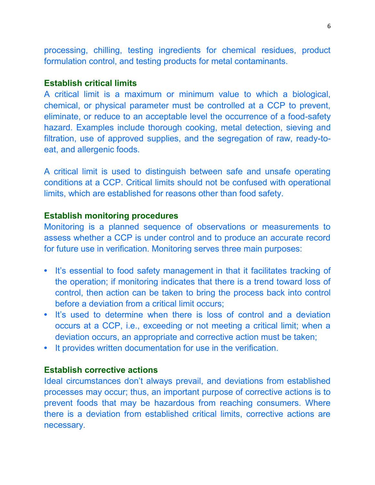processing, chilling, testing ingredients for chemical residues, product formulation control, and testing products for metal contaminants.

## **Establish critical limits**

A critical limit is a maximum or minimum value to which a biological, chemical, or physical parameter must be controlled at a CCP to prevent, eliminate, or reduce to an acceptable level the occurrence of a food-safety hazard. Examples include thorough cooking, metal detection, sieving and filtration, use of approved supplies, and the segregation of raw, ready-toeat, and allergenic foods.

A critical limit is used to distinguish between safe and unsafe operating conditions at a CCP. Critical limits should not be confused with operational limits, which are established for reasons other than food safety.

#### **Establish monitoring procedures**

Monitoring is a planned sequence of observations or measurements to assess whether a CCP is under control and to produce an accurate record for future use in verification. Monitoring serves three main purposes:

- **•** It's essential to food safety management in that it facilitates tracking of the operation; if monitoring indicates that there is a trend toward loss of control, then action can be taken to bring the process back into control before a deviation from a critical limit occurs;
- **•** It's used to determine when there is loss of control and a deviation occurs at a CCP, i.e., exceeding or not meeting a critical limit; when a deviation occurs, an appropriate and corrective action must be taken;
- **•** It provides written documentation for use in the verification.

#### **Establish corrective actions**

Ideal circumstances don't always prevail, and deviations from established processes may occur; thus, an important purpose of corrective actions is to prevent foods that may be hazardous from reaching consumers. Where there is a deviation from established critical limits, corrective actions are necessary.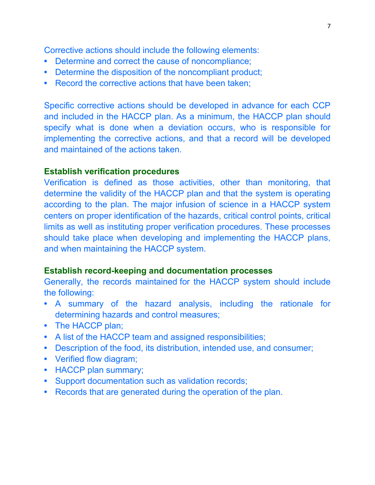Corrective actions should include the following elements:

- **•** Determine and correct the cause of noncompliance;
- **•** Determine the disposition of the noncompliant product;
- **•** Record the corrective actions that have been taken;

Specific corrective actions should be developed in advance for each CCP and included in the HACCP plan. As a minimum, the HACCP plan should specify what is done when a deviation occurs, who is responsible for implementing the corrective actions, and that a record will be developed and maintained of the actions taken.

## **Establish verification procedures**

Verification is defined as those activities, other than monitoring, that determine the validity of the HACCP plan and that the system is operating according to the plan. The major infusion of science in a HACCP system centers on proper identification of the hazards, critical control points, critical limits as well as instituting proper verification procedures. These processes should take place when developing and implementing the HACCP plans, and when maintaining the HACCP system.

## **Establish record-keeping and documentation processes**

Generally, the records maintained for the HACCP system should include the following:

- **•** A summary of the hazard analysis, including the rationale for determining hazards and control measures;
- **•** The HACCP plan;
- **•** A list of the HACCP team and assigned responsibilities;
- **•** Description of the food, its distribution, intended use, and consumer;
- **•** Verified flow diagram;
- **•** HACCP plan summary;
- **•** Support documentation such as validation records;
- **•** Records that are generated during the operation of the plan.